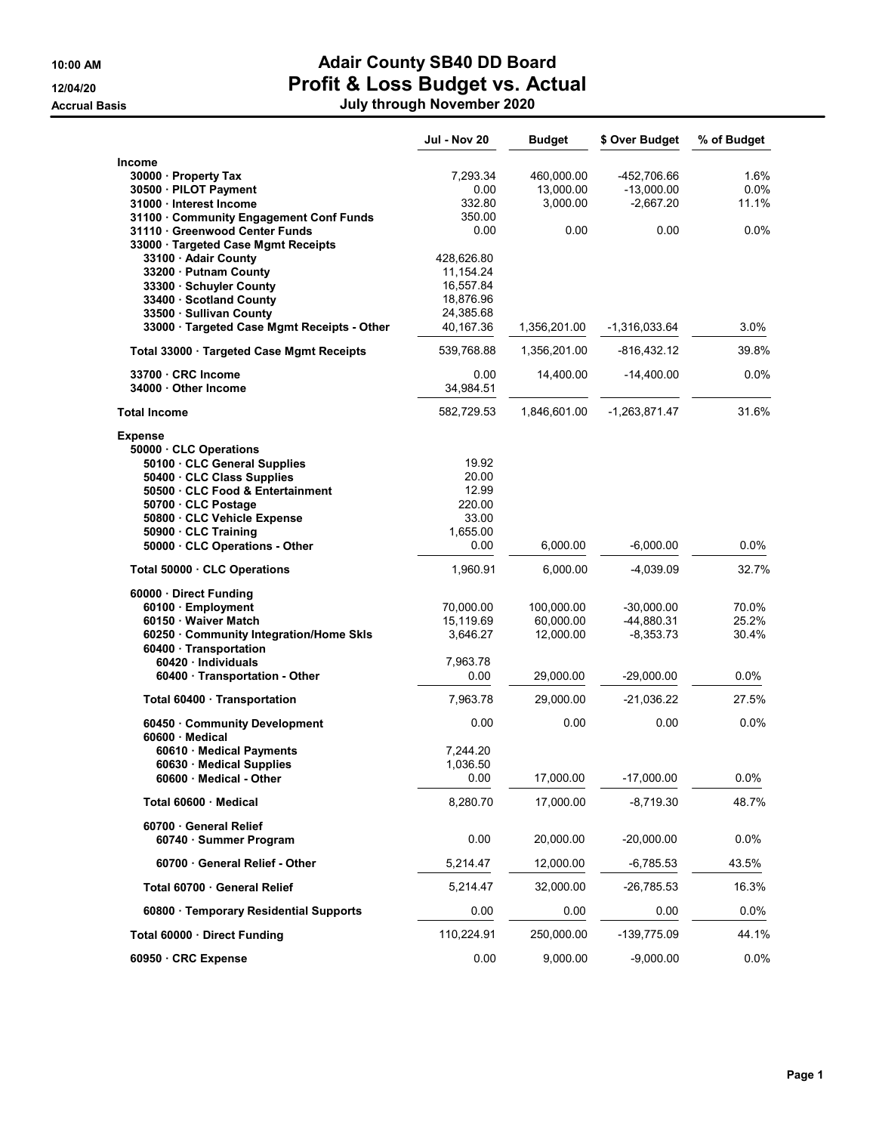## 10:00 AM **Adair County SB40 DD Board** 12/04/20 **Profit & Loss Budget vs. Actual**

Accrual Basis July through November 2020

|                                                      | Jul - Nov 20 | <b>Budget</b> | \$ Over Budget  | % of Budget |
|------------------------------------------------------|--------------|---------------|-----------------|-------------|
| Income                                               |              |               |                 |             |
| 30000 Property Tax                                   | 7,293.34     | 460,000.00    | -452,706.66     | 1.6%        |
| 30500 · PILOT Payment                                | 0.00         | 13,000.00     | $-13,000.00$    | $0.0\%$     |
| 31000 Interest Income                                | 332.80       | 3,000.00      | $-2,667.20$     | 11.1%       |
| 31100 Community Engagement Conf Funds                | 350.00       |               |                 |             |
| 31110 Greenwood Center Funds                         | 0.00         | 0.00          | 0.00            | 0.0%        |
| 33000 · Targeted Case Mgmt Receipts                  |              |               |                 |             |
| 33100 · Adair County                                 | 428,626.80   |               |                 |             |
| 33200 · Putnam County                                | 11,154.24    |               |                 |             |
| 33300 · Schuyler County                              | 16,557.84    |               |                 |             |
| 33400 · Scotland County                              | 18,876.96    |               |                 |             |
| 33500 · Sullivan County                              | 24,385.68    |               |                 |             |
| 33000 · Targeted Case Mgmt Receipts - Other          | 40,167.36    | 1,356,201.00  | -1,316,033.64   | 3.0%        |
| Total 33000 · Targeted Case Mgmt Receipts            | 539,768.88   | 1,356,201.00  | -816,432.12     | 39.8%       |
| 33700 CRC Income                                     | 0.00         | 14,400.00     | $-14,400.00$    | $0.0\%$     |
| 34000 Other Income                                   | 34,984.51    |               |                 |             |
| <b>Total Income</b>                                  | 582,729.53   | 1,846,601.00  | $-1,263,871.47$ | 31.6%       |
| <b>Expense</b>                                       |              |               |                 |             |
| 50000 CLC Operations                                 |              |               |                 |             |
| 50100 · CLC General Supplies                         | 19.92        |               |                 |             |
| 50400 · CLC Class Supplies                           | 20.00        |               |                 |             |
| 50500 · CLC Food & Entertainment                     | 12.99        |               |                 |             |
| 50700 CLC Postage                                    | 220.00       |               |                 |             |
| 50800 · CLC Vehicle Expense                          | 33.00        |               |                 |             |
| 50900 · CLC Training                                 | 1,655.00     |               |                 |             |
| 50000 · CLC Operations - Other                       | 0.00         | 6,000.00      | $-6,000.00$     | $0.0\%$     |
| Total 50000 CLC Operations                           | 1,960.91     | 6,000.00      | -4,039.09       | 32.7%       |
| 60000 · Direct Funding                               |              |               |                 |             |
| 60100 · Employment                                   | 70,000.00    | 100,000.00    | $-30,000.00$    | 70.0%       |
| 60150 · Waiver Match                                 | 15,119.69    | 60,000.00     | -44,880.31      | 25.2%       |
| 60250 Community Integration/Home Skls                | 3,646.27     | 12,000.00     | $-8,353.73$     | 30.4%       |
| 60400 · Transportation                               |              |               |                 |             |
| 60420 Individuals                                    | 7,963.78     |               |                 |             |
| 60400 · Transportation - Other                       | 0.00         | 29,000.00     | $-29,000.00$    | 0.0%        |
| Total 60400 · Transportation                         | 7,963.78     | 29,000.00     | $-21,036.22$    | 27.5%       |
| 60450 Community Development<br>$60600 \cdot$ Medical | 0.00         | 0.00          | 0.00            | 0.0%        |
| 60610 · Medical Payments                             | 7,244.20     |               |                 |             |
| 60630 Medical Supplies                               | 1,036.50     |               |                 |             |
| 60600 · Medical - Other                              | 0.00         | 17,000.00     | $-17,000.00$    | 0.0%        |
| Total 60600 Medical                                  | 8,280.70     | 17,000.00     | $-8,719.30$     | 48.7%       |
| 60700 General Relief                                 |              |               |                 |             |
| 60740 · Summer Program                               | 0.00         | 20,000.00     | $-20,000.00$    | 0.0%        |
| 60700 General Relief - Other                         | 5,214.47     | 12,000.00     | $-6,785.53$     | 43.5%       |
| Total 60700 General Relief                           | 5,214.47     | 32,000.00     | -26,785.53      | 16.3%       |
| 60800 · Temporary Residential Supports               | 0.00         | 0.00          | 0.00            | 0.0%        |
| Total 60000 · Direct Funding                         | 110,224.91   | 250,000.00    | -139,775.09     | 44.1%       |
| 60950 · CRC Expense                                  | 0.00         | 9,000.00      | $-9,000.00$     | 0.0%        |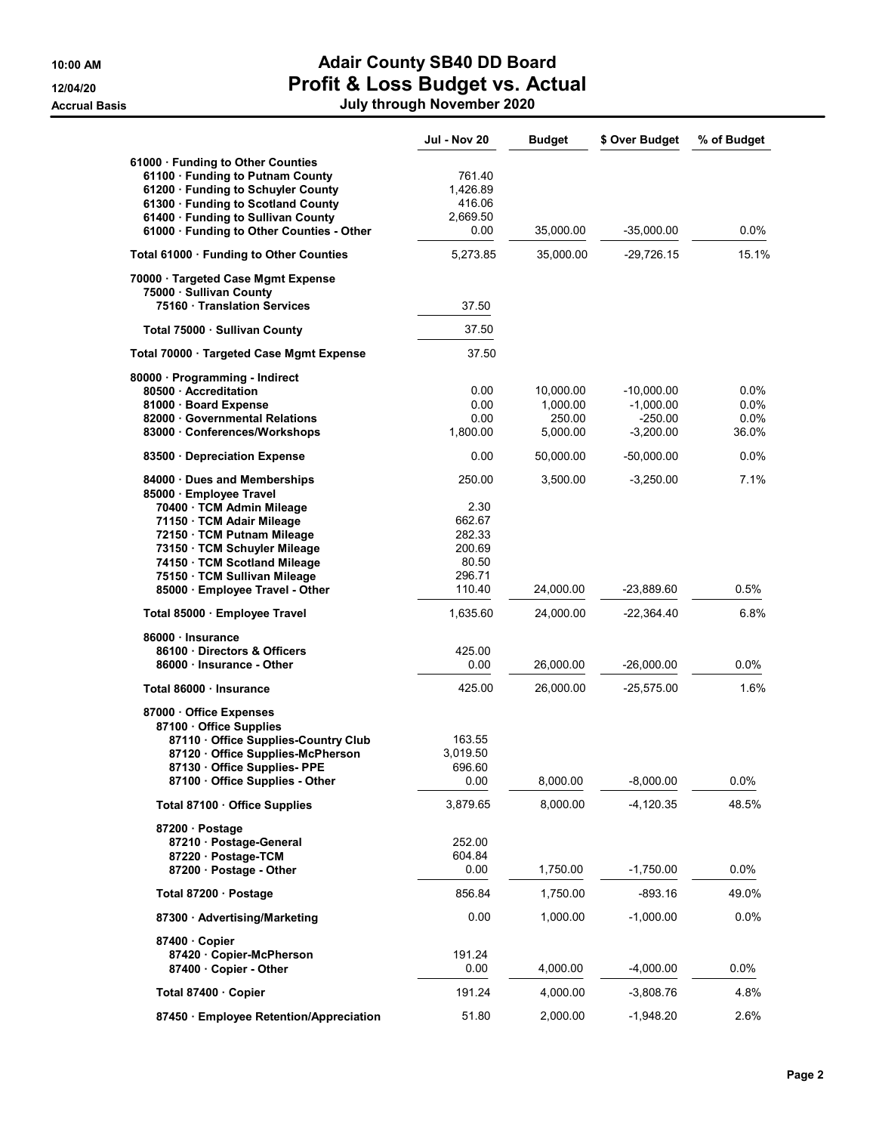## 10:00 AM Adair County SB40 DD Board 12/04/20 **Profit & Loss Budget vs. Actual**

Accrual Basis July through November 2020

|                                                                                                                                                                                                                                                 | <b>Jul - Nov 20</b>                                             | <b>Budget</b>      | \$ Over Budget           | % of Budget  |
|-------------------------------------------------------------------------------------------------------------------------------------------------------------------------------------------------------------------------------------------------|-----------------------------------------------------------------|--------------------|--------------------------|--------------|
| 61000 · Funding to Other Counties<br>61100 · Funding to Putnam County<br>61200 · Funding to Schuyler County<br>61300 · Funding to Scotland County                                                                                               | 761.40<br>1,426.89<br>416.06                                    |                    |                          |              |
| 61400 · Funding to Sullivan County<br>61000 · Funding to Other Counties - Other                                                                                                                                                                 | 2,669.50<br>0.00                                                | 35,000.00          | $-35,000.00$             | 0.0%         |
| Total 61000 · Funding to Other Counties                                                                                                                                                                                                         | 5,273.85                                                        | 35,000.00          | $-29,726.15$             | 15.1%        |
| 70000 · Targeted Case Mgmt Expense<br>75000 · Sullivan County<br>75160 Translation Services                                                                                                                                                     | 37.50                                                           |                    |                          |              |
| Total 75000 · Sullivan County                                                                                                                                                                                                                   | 37.50                                                           |                    |                          |              |
| Total 70000 · Targeted Case Mgmt Expense                                                                                                                                                                                                        | 37.50                                                           |                    |                          |              |
| 80000 · Programming - Indirect<br>80500 Accreditation                                                                                                                                                                                           | 0.00                                                            | 10,000.00          | $-10,000.00$             | 0.0%         |
| 81000 · Board Expense<br>82000 Governmental Relations                                                                                                                                                                                           | 0.00<br>0.00                                                    | 1,000.00<br>250.00 | $-1,000.00$<br>$-250.00$ | 0.0%<br>0.0% |
| 83000 · Conferences/Workshops                                                                                                                                                                                                                   | 1,800.00                                                        | 5,000.00           | $-3,200.00$              | 36.0%        |
| 83500 Depreciation Expense                                                                                                                                                                                                                      | 0.00                                                            | 50,000.00          | $-50,000.00$             | $0.0\%$      |
| 84000 · Dues and Memberships<br>85000 · Employee Travel<br>70400 · TCM Admin Mileage<br>71150 · TCM Adair Mileage<br>72150 · TCM Putnam Mileage<br>73150 · TCM Schuyler Mileage<br>74150 · TCM Scotland Mileage<br>75150 · TCM Sullivan Mileage | 250.00<br>2.30<br>662.67<br>282.33<br>200.69<br>80.50<br>296.71 | 3,500.00           | $-3,250.00$              | 7.1%         |
| 85000 · Employee Travel - Other                                                                                                                                                                                                                 | 110.40                                                          | 24,000.00          | -23,889.60               | 0.5%         |
| Total 85000 · Employee Travel                                                                                                                                                                                                                   | 1,635.60                                                        | 24,000.00          | $-22,364.40$             | 6.8%         |
| 86000 · Insurance<br>86100 Directors & Officers<br>86000 · Insurance - Other                                                                                                                                                                    | 425.00<br>0.00                                                  | 26,000.00          | $-26,000.00$             | $0.0\%$      |
| Total 86000 Insurance                                                                                                                                                                                                                           | 425.00                                                          | 26,000.00          | $-25,575.00$             | 1.6%         |
| 87000 Office Expenses<br>87100 · Office Supplies<br>87110 Office Supplies-Country Club<br>87120 Office Supplies-McPherson<br>87130 · Office Supplies- PPE<br>87100 · Office Supplies - Other                                                    | 163.55<br>3,019.50<br>696.60<br>0.00                            | 8,000.00           | $-8,000.00$              | 0.0%         |
| Total 87100 Office Supplies                                                                                                                                                                                                                     | 3,879.65                                                        | 8,000.00           | $-4,120.35$              | 48.5%        |
| 87200 · Postage<br>87210 · Postage-General<br>87220 · Postage-TCM                                                                                                                                                                               | 252.00<br>604.84                                                |                    |                          |              |
| 87200 · Postage - Other                                                                                                                                                                                                                         | 0.00                                                            | 1,750.00           | $-1,750.00$              | 0.0%         |
| Total 87200 · Postage                                                                                                                                                                                                                           | 856.84                                                          | 1,750.00           | $-893.16$                | 49.0%        |
| 87300 · Advertising/Marketing                                                                                                                                                                                                                   | 0.00                                                            | 1,000.00           | $-1,000.00$              | 0.0%         |
| 87400 · Copier<br>87420 · Copier-McPherson<br>87400 · Copier - Other                                                                                                                                                                            | 191.24<br>0.00                                                  | 4,000.00           | $-4,000.00$              | 0.0%         |
| Total 87400 Copier                                                                                                                                                                                                                              | 191.24                                                          | 4,000.00           | $-3,808.76$              | 4.8%         |
| 87450 · Employee Retention/Appreciation                                                                                                                                                                                                         | 51.80                                                           | 2,000.00           | $-1,948.20$              | 2.6%         |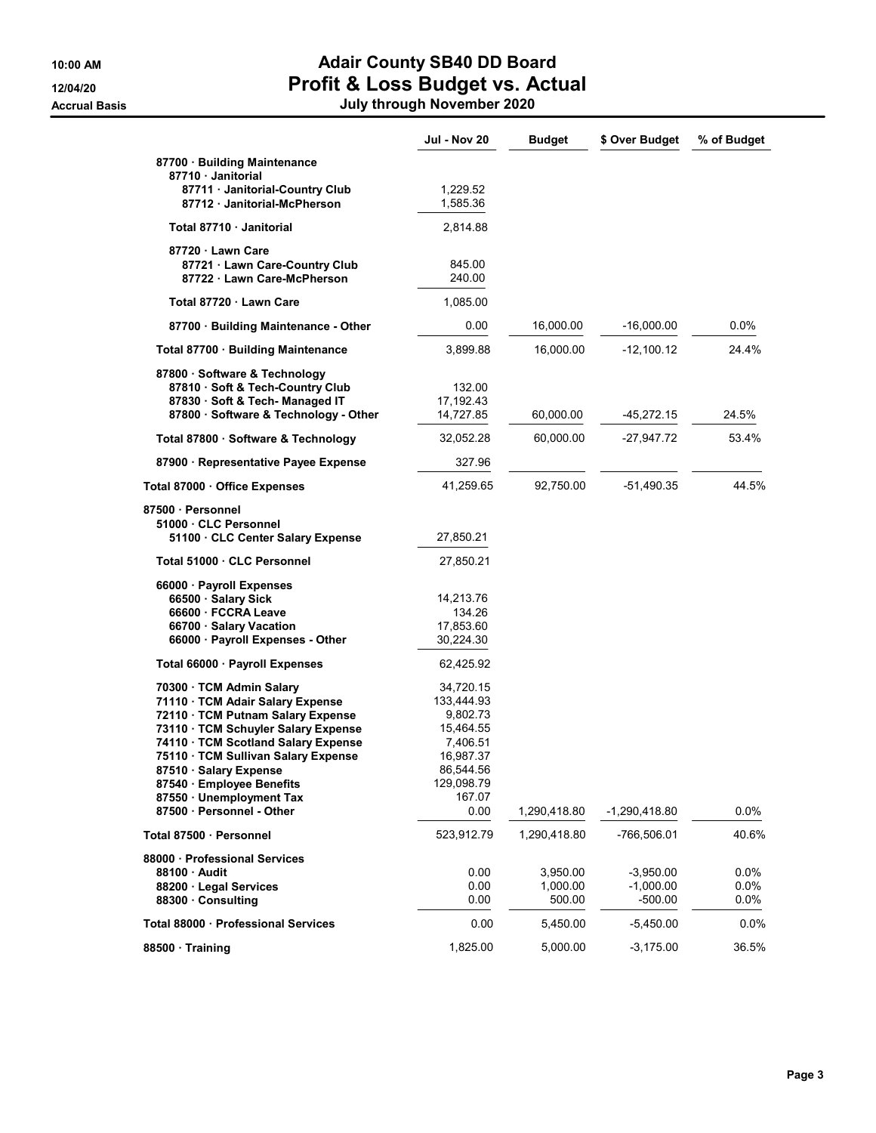## 10:00 AM **Adair County SB40 DD Board** 12/04/20 **Profit & Loss Budget vs. Actual**

Accrual Basis July through November 2020

|                                                                                                                                                                                                                                                                                                           | <b>Jul - Nov 20</b>                                                                                            | <b>Budget</b>                  | \$ Over Budget                          | % of Budget             |
|-----------------------------------------------------------------------------------------------------------------------------------------------------------------------------------------------------------------------------------------------------------------------------------------------------------|----------------------------------------------------------------------------------------------------------------|--------------------------------|-----------------------------------------|-------------------------|
| 87700 · Building Maintenance<br>87710 · Janitorial<br>87711 · Janitorial-Country Club<br>87712 Janitorial-McPherson                                                                                                                                                                                       | 1,229.52<br>1,585.36                                                                                           |                                |                                         |                         |
| Total 87710 · Janitorial                                                                                                                                                                                                                                                                                  | 2,814.88                                                                                                       |                                |                                         |                         |
|                                                                                                                                                                                                                                                                                                           |                                                                                                                |                                |                                         |                         |
| 87720 · Lawn Care<br>87721 · Lawn Care-Country Club<br>87722 · Lawn Care-McPherson                                                                                                                                                                                                                        | 845.00<br>240.00                                                                                               |                                |                                         |                         |
| Total 87720 Lawn Care                                                                                                                                                                                                                                                                                     | 1,085.00                                                                                                       |                                |                                         |                         |
| 87700 · Building Maintenance - Other                                                                                                                                                                                                                                                                      | 0.00                                                                                                           | 16,000.00                      | $-16,000.00$                            | 0.0%                    |
| Total 87700 · Building Maintenance                                                                                                                                                                                                                                                                        | 3,899.88                                                                                                       | 16,000.00                      | $-12,100.12$                            | 24.4%                   |
| 87800 · Software & Technology<br>87810 · Soft & Tech-Country Club<br>87830 · Soft & Tech- Managed IT<br>87800 · Software & Technology - Other                                                                                                                                                             | 132.00<br>17,192.43<br>14,727.85                                                                               | 60,000.00                      | -45,272.15                              | 24.5%                   |
| Total 87800 · Software & Technology                                                                                                                                                                                                                                                                       | 32,052.28                                                                                                      | 60,000.00                      | -27,947.72                              | 53.4%                   |
| 87900 · Representative Payee Expense                                                                                                                                                                                                                                                                      | 327.96                                                                                                         |                                |                                         |                         |
| Total 87000 · Office Expenses                                                                                                                                                                                                                                                                             | 41,259.65                                                                                                      | 92,750.00                      | -51,490.35                              | 44.5%                   |
| 87500 · Personnel                                                                                                                                                                                                                                                                                         |                                                                                                                |                                |                                         |                         |
| 51000 · CLC Personnel<br>51100 CLC Center Salary Expense                                                                                                                                                                                                                                                  | 27,850.21                                                                                                      |                                |                                         |                         |
| Total 51000 · CLC Personnel                                                                                                                                                                                                                                                                               | 27,850.21                                                                                                      |                                |                                         |                         |
| 66000 · Payroll Expenses<br>66500 · Salary Sick<br>66600 · FCCRA Leave<br>66700 · Salary Vacation<br>66000 · Payroll Expenses - Other                                                                                                                                                                     | 14,213.76<br>134.26<br>17,853.60<br>30,224.30                                                                  |                                |                                         |                         |
| Total 66000 · Payroll Expenses                                                                                                                                                                                                                                                                            | 62,425.92                                                                                                      |                                |                                         |                         |
| 70300 · TCM Admin Salary<br>71110 · TCM Adair Salary Expense<br>72110 · TCM Putnam Salary Expense<br>73110 · TCM Schuyler Salary Expense<br>74110 · TCM Scotland Salary Expense<br>75110 · TCM Sullivan Salary Expense<br>87510 · Salary Expense<br>87540 · Employee Benefits<br>87550 · Unemployment Tax | 34,720.15<br>133,444.93<br>9,802.73<br>15,464.55<br>7,406.51<br>16,987.37<br>86,544.56<br>129,098.79<br>167.07 |                                |                                         |                         |
| 87500 · Personnel - Other                                                                                                                                                                                                                                                                                 | 0.00                                                                                                           | 1,290,418.80                   | $-1,290,418.80$                         | 0.0%                    |
| Total 87500 · Personnel                                                                                                                                                                                                                                                                                   | 523,912.79                                                                                                     | 1,290,418.80                   | -766,506.01                             | 40.6%                   |
| 88000 · Professional Services<br>88100 Audit<br>88200 · Legal Services<br>88300 Consulting                                                                                                                                                                                                                | 0.00<br>0.00<br>0.00                                                                                           | 3,950.00<br>1,000.00<br>500.00 | $-3,950.00$<br>$-1,000.00$<br>$-500.00$ | 0.0%<br>0.0%<br>$0.0\%$ |
| Total 88000 Professional Services                                                                                                                                                                                                                                                                         | 0.00                                                                                                           | 5,450.00                       | $-5,450.00$                             | 0.0%                    |
| 88500 Training                                                                                                                                                                                                                                                                                            | 1,825.00                                                                                                       | 5,000.00                       | $-3,175.00$                             | 36.5%                   |